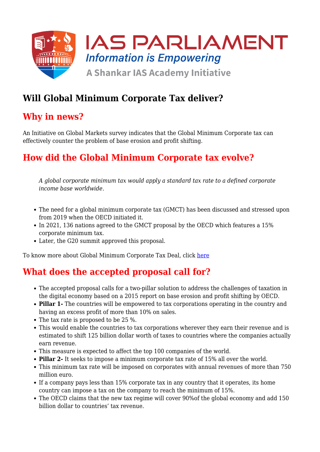

# **Will Global Minimum Corporate Tax deliver?**

## **Why in news?**

An Initiative on Global Markets survey indicates that the Global Minimum Corporate tax can effectively counter the problem of base erosion and profit shifting.

# **How did the Global Minimum Corporate tax evolve?**

*A global corporate minimum tax would apply a standard tax rate to a defined corporate income base worldwide.*

- The need for a global minimum corporate tax (GMCT) has been discussed and stressed upon from 2019 when the OECD initiated it.
- In 2021, 136 nations agreed to the GMCT proposal by the OECD which features a 15% corporate minimum tax.
- Later, the G20 summit approved this proposal.

To know more about Global Minimum Corporate Tax Deal, click [here](https://www.iasparliament.com/current-affairs/global-minimum-corporate-tax-deal)

# **What does the accepted proposal call for?**

- The accepted proposal calls for a two-pillar solution to address the challenges of taxation in the digital economy based on a 2015 report on base erosion and profit shifting by OECD.
- **Pillar 1-** The countries will be empowered to tax corporations operating in the country and having an excess profit of more than 10% on sales.
- The tax rate is proposed to be 25 %.
- This would enable the countries to tax corporations wherever they earn their revenue and is estimated to shift 125 billion dollar worth of taxes to countries where the companies actually earn revenue.
- This measure is expected to affect the top 100 companies of the world.
- **Pillar 2-** It seeks to impose a minimum corporate tax rate of 15% all over the world.
- This minimum tax rate will be imposed on corporates with annual revenues of more than 750 million euro.
- If a company pays less than 15% corporate tax in any country that it operates, its home country can impose a tax on the company to reach the minimum of 15%.
- The OECD claims that the new tax regime will cover 90%of the global economy and add 150 billion dollar to countries' tax revenue.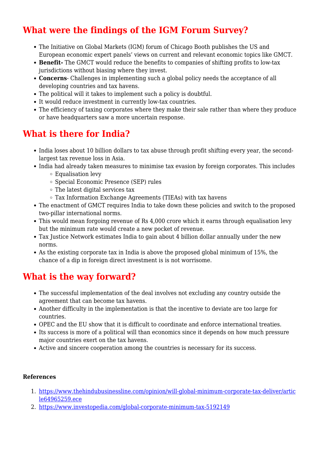# **What were the findings of the IGM Forum Survey?**

- The Initiative on Global Markets (IGM) forum of Chicago Booth publishes the US and European economic expert panels' views on current and relevant economic topics like GMCT.
- **Benefit-** The GMCT would reduce the benefits to companies of shifting profits to low-tax jurisdictions without biasing where they invest.
- **Concerns** Challenges in implementing such a global policy needs the acceptance of all developing countries and tax havens.
- The political will it takes to implement such a policy is doubtful.
- It would reduce investment in currently low-tax countries.
- The efficiency of taxing corporates where they make their sale rather than where they produce or have headquarters saw a more uncertain response.

## **What is there for India?**

- India loses about 10 billion dollars to tax abuse through profit shifting every year, the secondlargest tax revenue loss in Asia.
- India had already taken measures to minimise tax evasion by foreign corporates. This includes
	- Equalisation levy
	- Special Economic Presence (SEP) rules
	- The latest digital services tax
	- $\circ$  Tax Information Exchange Agreements (TIEAs) with tax havens
- The enactment of GMCT requires India to take down these policies and switch to the proposed two-pillar international norms.
- This would mean forgoing revenue of Rs 4,000 crore which it earns through equalisation levy but the minimum rate would create a new pocket of revenue.
- Tax Justice Network estimates India to gain about 4 billion dollar annually under the new norms.
- As the existing corporate tax in India is above the proposed global minimum of 15%, the chance of a dip in foreign direct investment is is not worrisome.

## **What is the way forward?**

- The successful implementation of the deal involves not excluding any country outside the agreement that can become tax havens.
- Another difficulty in the implementation is that the incentive to deviate are too large for countries.
- OPEC and the EU show that it is difficult to coordinate and enforce international treaties.
- Its success is more of a political will than economics since it depends on how much pressure major countries exert on the tax havens.
- Active and sincere cooperation among the countries is necessary for its success.

#### **References**

- 1. [https://www.thehindubusinessline.com/opinion/will-global-minimum-corporate-tax-deliver/artic](https://www.thehindubusinessline.com/opinion/will-global-minimum-corporate-tax-deliver/article64965259.ece) [le64965259.ece](https://www.thehindubusinessline.com/opinion/will-global-minimum-corporate-tax-deliver/article64965259.ece)
- 2. <https://www.investopedia.com/global-corporate-minimum-tax-5192149>